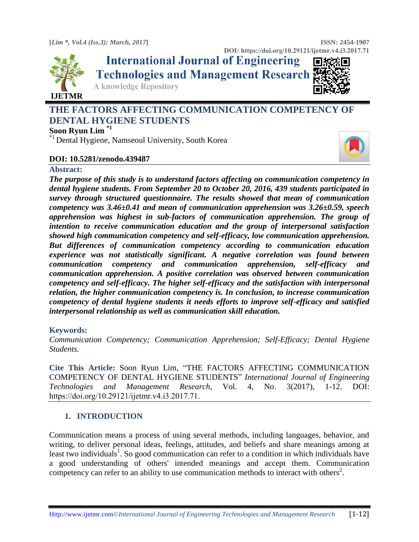

**International Journal of Engineering Technologies and Management Research** 



**DOI: https://doi.org/10.29121/ijetmr.v4.i3.2017.71**

**A knowledge Repository** 

# **THE FACTORS AFFECTING COMMUNICATION COMPETENCY OF DENTAL HYGIENE STUDENTS**

# **Soon Ryun Lim \*1**

\*1 Dental Hygiene, Namseoul University, South Korea

# **DOI: 10.5281/zenodo.439487**

# **Abstract:**

*The purpose of this study is to understand factors affecting on communication competency in dental hygiene students. From September 20 to October 20, 2016, 439 students participated in survey through structured questionnaire. The results showed that mean of communication competency was 3.46±0.41 and mean of communication apprehension was 3.26±0.59, speech apprehension was highest in sub-factors of communication apprehension. The group of intention to receive communication education and the group of interpersonal satisfaction showed high communication competency and self-efficacy, low communication apprehension. But differences of communication competency according to communication education experience was not statistically significant. A negative correlation was found between communication competency and communication apprehension, self-efficacy and communication apprehension. A positive correlation was observed between communication competency and self-efficacy. The higher self-efficacy and the satisfaction with interpersonal relation, the higher communication competency is. In conclusion, to increase communication competency of dental hygiene students it needs efforts to improve self-efficacy and satisfied interpersonal relationship as well as communication skill education.* 

# **Keywords:**

*Communication Competency; Communication Apprehension; Self-Efficacy; Dental Hygiene Students.* 

**Cite This Article:** Soon Ryun Lim, "THE FACTORS AFFECTING COMMUNICATION COMPETENCY OF DENTAL HYGIENE STUDENTS" *International Journal of Engineering Technologies and Management Research,* Vol. 4, No. 3(2017), 1-12. DOI: https://doi.org/10.29121/ijetmr.v4.i3.2017.71.

# **1. INTRODUCTION**

Communication means a process of using several methods, including languages, behavior, and writing, to deliver personal ideas, feelings, attitudes, and beliefs and share meanings among at least two individuals<sup>1</sup>. So good communication can refer to a condition in which individuals have a good understanding of others' intended meanings and accept them. Communication competency can refer to an ability to use communication methods to interact with others<sup>2</sup>.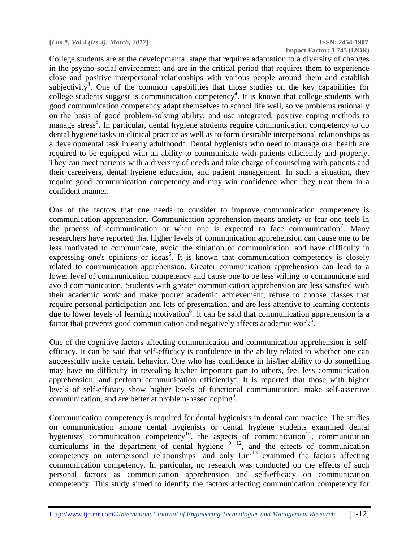College students are at the developmental stage that requires adaptation to a diversity of changes in the psycho-social environment and are in the critical period that requires them to experience close and positive interpersonal relationships with various people around them and establish subjectivity<sup>3</sup>. One of the common capabilities that those studies on the key capabilities for college students suggest is communication competency<sup>4</sup>. It is known that college students with good communication competency adapt themselves to school life well, solve problems rationally on the basis of good problem-solving ability, and use integrated, positive coping methods to manage stress<sup>5</sup>. In particular, dental hygiene students require communication competency to do dental hygiene tasks in clinical practice as well as to form desirable interpersonal relationships as a developmental task in early adulthood<sup>6</sup>. Dental hygienists who need to manage oral health are required to be equipped with an ability to communicate with patients efficiently and properly. They can meet patients with a diversity of needs and take charge of counseling with patients and their caregivers, dental hygiene education, and patient management. In such a situation, they require good communication competency and may win confidence when they treat them in a confident manner.

One of the factors that one needs to consider to improve communication competency is communication apprehension. Communication apprehension means anxiety or fear one feels in the process of communication or when one is expected to face communication<sup>7</sup>. Many researchers have reported that higher levels of communication apprehension can cause one to be less motivated to communicate, avoid the situation of communication, and have difficulty in expressing one's opinions or ideas<sup>5</sup>. It is known that communication competency is closely related to communication apprehension. Greater communication apprehension can lead to a lower level of communication competency and cause one to be less willing to communicate and avoid communication. Students with greater communication apprehension are less satisfied with their academic work and make poorer academic achievement, refuse to choose classes that require personal participation and lots of presentation, and are less attentive to learning contents due to lower levels of learning motivation<sup>8</sup>. It can be said that communication apprehension is a factor that prevents good communication and negatively affects academic work<sup>5</sup>.

One of the cognitive factors affecting communication and communication apprehension is selfefficacy. It can be said that self-efficacy is confidence in the ability related to whether one can successfully make certain behavior. One who has confidence in his/her ability to do something may have no difficulty in revealing his/her important part to others, feel less communication apprehension, and perform communication efficiently<sup>3</sup>. It is reported that those with higher levels of self-efficacy show higher levels of functional communication, make self-assertive communication, and are better at problem-based coping<sup>9</sup>.

Communication competency is required for dental hygienists in dental care practice. The studies on communication among dental hygienists or dental hygiene students examined dental hygienists' communication competency<sup>10</sup>, the aspects of communication<sup>11</sup>, communication curriculums in the department of dental hygiene  $9, 12$ , and the effects of communication competency on interpersonal relationships<sup>6</sup> and only  $\text{Lim}^{13}$  examined the factors affecting communication competency. In particular, no research was conducted on the effects of such personal factors as communication apprehension and self-efficacy on communication competency. This study aimed to identify the factors affecting communication competency for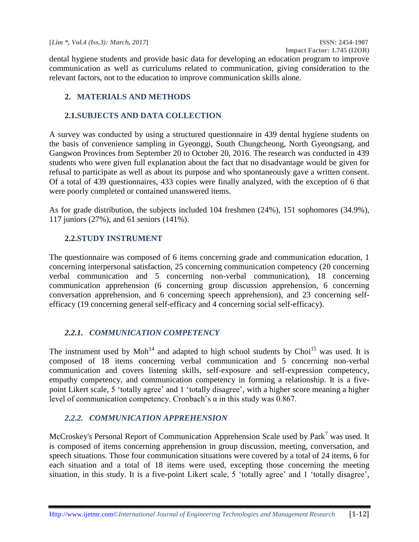dental hygiene students and provide basic data for developing an education program to improve communication as well as curriculums related to communication, giving consideration to the relevant factors, not to the education to improve communication skills alone.

# **2. MATERIALS AND METHODS**

### **2.1.SUBJECTS AND DATA COLLECTION**

A survey was conducted by using a structured questionnaire in 439 dental hygiene students on the basis of convenience sampling in Gyeonggi, South Chungcheong, North Gyeongsang, and Gangwon Provinces from September 20 to October 20, 2016. The research was conducted in 439 students who were given full explanation about the fact that no disadvantage would be given for refusal to participate as well as about its purpose and who spontaneously gave a written consent. Of a total of 439 questionnaires, 433 copies were finally analyzed, with the exception of 6 that were poorly completed or contained unanswered items.

As for grade distribution, the subjects included 104 freshmen (24%), 151 sophomores (34.9%), 117 juniors (27%), and 61 seniors (141%).

### **2.2.STUDY INSTRUMENT**

The questionnaire was composed of 6 items concerning grade and communication education, 1 concerning interpersonal satisfaction, 25 concerning communication competency (20 concerning verbal communication and 5 concerning non-verbal communication), 18 concerning communication apprehension (6 concerning group discussion apprehension, 6 concerning conversation apprehension, and 6 concerning speech apprehension), and 23 concerning selfefficacy (19 concerning general self-efficacy and 4 concerning social self-efficacy).

# *2.2.1. COMMUNICATION COMPETENCY*

The instrument used by Moh<sup>14</sup> and adapted to high school students by Choi<sup>15</sup> was used. It is composed of 18 items concerning verbal communication and 5 concerning non-verbal communication and covers listening skills, self-exposure and self-expression competency, empathy competency, and communication competency in forming a relationship. It is a fivepoint Likert scale, 5 'totally agree' and 1 'totally disagree', with a higher score meaning a higher level of communication competency. Cronbach's α in this study was 0.867.

# *2.2.2. COMMUNICATION APPREHENSION*

McCroskey's Personal Report of Communication Apprehension Scale used by  $\text{Park}^7$  was used. It is composed of items concerning apprehension in group discussion, meeting, conversation, and speech situations. Those four communication situations were covered by a total of 24 items, 6 for each situation and a total of 18 items were used, excepting those concerning the meeting situation, in this study. It is a five-point Likert scale, 5 'totally agree' and 1 'totally disagree',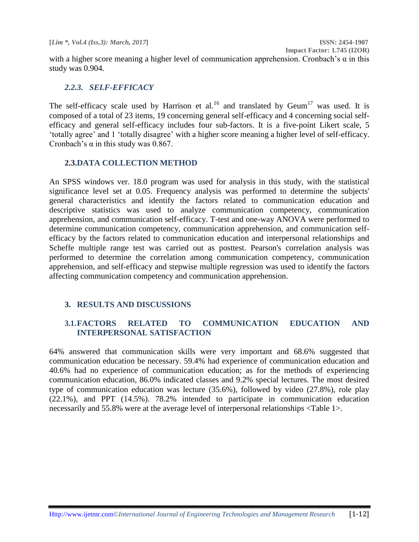**Impact Factor: 1.745 (I2OR)**

with a higher score meaning a higher level of communication apprehension. Cronbach's  $\alpha$  in this study was 0.904.

# *2.2.3. SELF-EFFICACY*

The self-efficacy scale used by Harrison et al.<sup>16</sup> and translated by Geum<sup>17</sup> was used. It is composed of a total of 23 items, 19 concerning general self-efficacy and 4 concerning social selfefficacy and general self-efficacy includes four sub-factors. It is a five-point Likert scale, 5 'totally agree' and 1 'totally disagree' with a higher score meaning a higher level of self-efficacy. Cronbach's  $\alpha$  in this study was 0.867.

### **2.3.DATA COLLECTION METHOD**

An SPSS windows ver. 18.0 program was used for analysis in this study, with the statistical significance level set at 0.05. Frequency analysis was performed to determine the subjects' general characteristics and identify the factors related to communication education and descriptive statistics was used to analyze communication competency, communication apprehension, and communication self-efficacy. T-test and one-way ANOVA were performed to determine communication competency, communication apprehension, and communication selfefficacy by the factors related to communication education and interpersonal relationships and Scheffe multiple range test was carried out as posttest. Pearson's correlation analysis was performed to determine the correlation among communication competency, communication apprehension, and self-efficacy and stepwise multiple regression was used to identify the factors affecting communication competency and communication apprehension.

# **3. RESULTS AND DISCUSSIONS**

# **3.1.FACTORS RELATED TO COMMUNICATION EDUCATION AND INTERPERSONAL SATISFACTION**

64% answered that communication skills were very important and 68.6% suggested that communication education be necessary. 59.4% had experience of communication education and 40.6% had no experience of communication education; as for the methods of experiencing communication education, 86.0% indicated classes and 9.2% special lectures. The most desired type of communication education was lecture (35.6%), followed by video (27.8%), role play (22.1%), and PPT (14.5%). 78.2% intended to participate in communication education necessarily and 55.8% were at the average level of interpersonal relationships <Table 1>.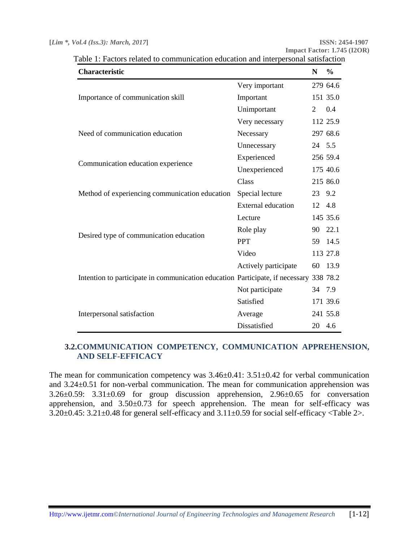**Impact Factor: 1.745 (I2OR)**

| <b>Characteristic</b>                                                                  |                           | N      | $\%$     |
|----------------------------------------------------------------------------------------|---------------------------|--------|----------|
|                                                                                        | Very important            |        | 279 64.6 |
| Importance of communication skill                                                      | Important                 |        | 151 35.0 |
|                                                                                        | Unimportant               | 2      | 0.4      |
|                                                                                        | Very necessary            |        | 112 25.9 |
| Need of communication education                                                        | Necessary                 |        | 297 68.6 |
|                                                                                        | Unnecessary               | 24 5.5 |          |
| Communication education experience                                                     | Experienced               |        | 256 59.4 |
|                                                                                        | Unexperienced             |        | 175 40.6 |
|                                                                                        | Class                     |        | 215 86.0 |
| Method of experiencing communication education                                         | Special lecture           | 23 9.2 |          |
|                                                                                        | <b>External education</b> | 12     | 4.8      |
|                                                                                        | Lecture                   |        | 145 35.6 |
|                                                                                        | Role play                 | 90     | 22.1     |
| Desired type of communication education                                                | <b>PPT</b>                | 59     | 14.5     |
|                                                                                        | Video                     |        | 113 27.8 |
|                                                                                        | Actively participate      | 60     | 13.9     |
| Intention to participate in communication education Participate, if necessary 338 78.2 |                           |        |          |
|                                                                                        | Not participate           | 34     | 7.9      |
|                                                                                        | Satisfied                 |        | 171 39.6 |
| Interpersonal satisfaction                                                             | Average                   |        | 241 55.8 |
|                                                                                        | Dissatisfied              | 20 4.6 |          |

Table 1: Factors related to communication education and interpersonal satisfaction

# **3.2.COMMUNICATION COMPETENCY, COMMUNICATION APPREHENSION, AND SELF-EFFICACY**

The mean for communication competency was  $3.46\pm0.41$ :  $3.51\pm0.42$  for verbal communication and 3.24±0.51 for non-verbal communication. The mean for communication apprehension was 3.26±0.59: 3.31±0.69 for group discussion apprehension, 2.96±0.65 for conversation apprehension, and  $3.50\pm0.73$  for speech apprehension. The mean for self-efficacy was 3.20±0.45: 3.21±0.48 for general self-efficacy and 3.11±0.59 for social self-efficacy <Table 2>.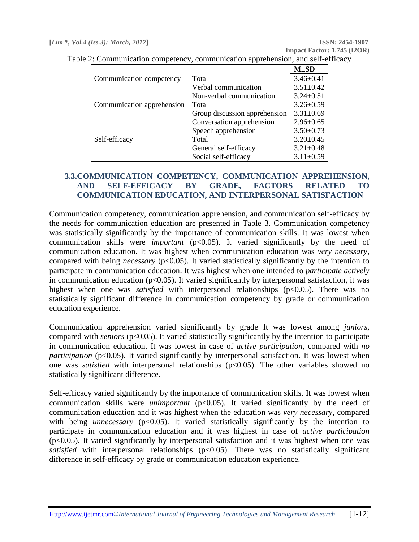|                            |                               | $M\pm SD$       |
|----------------------------|-------------------------------|-----------------|
| Communication competency   | Total                         | $3.46 \pm 0.41$ |
|                            | Verbal communication          | $3.51 \pm 0.42$ |
|                            | Non-verbal communication      | $3.24 \pm 0.51$ |
| Communication apprehension | Total                         | $3.26 \pm 0.59$ |
|                            | Group discussion apprehension | $3.31 \pm 0.69$ |
|                            | Conversation apprehension     | $2.96 \pm 0.65$ |
|                            | Speech apprehension           | $3.50 \pm 0.73$ |
| Self-efficacy              | Total                         | $3.20 \pm 0.45$ |
|                            | General self-efficacy         | $3.21 \pm 0.48$ |
|                            | Social self-efficacy          | $3.11 \pm 0.59$ |

Table 2: Communication competency, communication apprehension, and self-efficacy

### **3.3.COMMUNICATION COMPETENCY, COMMUNICATION APPREHENSION, AND SELF-EFFICACY BY GRADE, FACTORS RELATED TO COMMUNICATION EDUCATION, AND INTERPERSONAL SATISFACTION**

Communication competency, communication apprehension, and communication self-efficacy by the needs for communication education are presented in Table 3. Communication competency was statistically significantly by the importance of communication skills. It was lowest when communication skills were *important* (p<0.05). It varied significantly by the need of communication education. It was highest when communication education was *very necessary*, compared with being *necessary* (p<0.05). It varied statistically significantly by the intention to participate in communication education. It was highest when one intended to *participate actively* in communication education ( $p<0.05$ ). It varied significantly by interpersonal satisfaction, it was highest when one was *satisfied* with interpersonal relationships (p<0.05). There was no statistically significant difference in communication competency by grade or communication education experience.

Communication apprehension varied significantly by grade It was lowest among *juniors*, compared with *seniors* (p<0.05). It varied statistically significantly by the intention to participate in communication education. It was lowest in case of *active participation*, compared with *no participation* (p<0.05). It varied significantly by interpersonal satisfaction. It was lowest when one was *satisfied* with interpersonal relationships ( $p<0.05$ ). The other variables showed no statistically significant difference.

Self-efficacy varied significantly by the importance of communication skills. It was lowest when communication skills were *unimportant* (p<0.05). It varied significantly by the need of communication education and it was highest when the education was *very necessary*, compared with being *unnecessary* (p<0.05). It varied statistically significantly by the intention to participate in communication education and it was highest in case of *active participation*  $(p<0.05)$ . It varied significantly by interpersonal satisfaction and it was highest when one was *satisfied* with interpersonal relationships  $(p<0.05)$ . There was no statistically significant difference in self-efficacy by grade or communication education experience.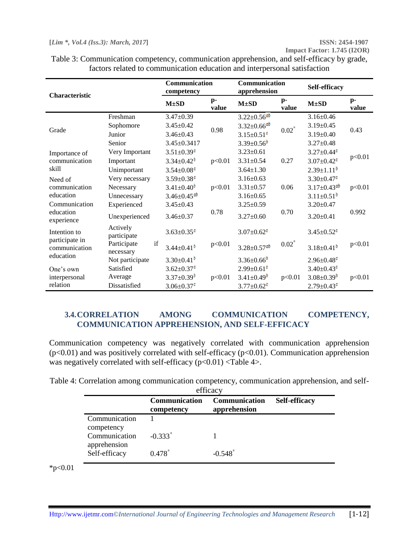**Impact Factor: 1.745 (I2OR)**

| Characteristic                  |                                | Communication<br>competency   |               | Communication<br>apprehension |               | Self-efficacy                                       |               |
|---------------------------------|--------------------------------|-------------------------------|---------------|-------------------------------|---------------|-----------------------------------------------------|---------------|
|                                 |                                | $M\pm SD$                     | $p-$<br>value | $M\pm SD$                     | $p-$<br>value | $M\pm SD$                                           | $p-$<br>value |
|                                 | Freshman                       | $3.47 \pm 0.39$               |               | $3.22 \pm 0.56$ ab            |               | $3.16 + 0.46$                                       |               |
| Grade                           | Sophomore                      | $3.45 \pm 0.42$               |               | $3.32 \pm 0.66$ <sup>ab</sup> | $0.02^*$      | $3.19 + 0.45$                                       | 0.43          |
|                                 | Junior                         | $3.46 + 0.43$                 | 0.98          | $3.15 \pm 0.51$ <sup>c</sup>  |               | $3.19+0.40$                                         |               |
|                                 | Senior                         | $3.45 \pm 0.3417$             |               | $3.39 \pm 0.56$               |               | $3.27 \pm 0.48$                                     |               |
| Importance of                   | Very Important                 | $3.51 \pm 0.39$ <sup>c</sup>  |               | $3.23 \pm 0.61$               |               | $3.27 \pm 0.44^{\circ}$                             |               |
| communication                   | Important                      | $3.34 \pm 0.42$ <sup>0</sup>  | p<0.01        | $3.31 \pm 0.54$               | 0.27          | $3.07 \pm 0.42$ <sup><math>\textdegree</math></sup> | p<0.01        |
| skill                           | Unimportant                    | $3.54 \pm 0.08$ <sup>c</sup>  |               | $3.64 \pm 1.30$               |               | $2.39 \pm 1.11$ <sup>b</sup>                        |               |
| Need of                         | Very necessary                 | $3.59 \pm 0.38$ <sup>c</sup>  |               | $3.16 \pm 0.63$               |               | $3.30 \pm 0.47$ <sup><math>\circ</math></sup>       |               |
| communication                   | Necessary                      | $3.41 \pm 0.40$ <sup>t</sup>  | p<0.01        | $3.31 \pm 0.57$               | 0.06          | $3.17 \pm 0.43$ <sup>ab</sup>                       | p<0.01        |
| education                       | Unnecessary                    | $3.46 \pm 0.45$ <sup>ab</sup> |               | $3.16 \pm 0.65$               |               | $3.11 \pm 0.51$ <sup>0</sup>                        |               |
| Communication                   | Experienced                    | $3.45 \pm 0.43$               |               | $3.25 \pm 0.59$               |               | $3.20 \pm 0.47$                                     |               |
| education<br>experience         | Unexperienced                  | $3.46 \pm 0.37$               | 0.78          | $3.27 \pm 0.60$               | 0.70          | $3.20 \pm 0.41$                                     | 0.992         |
| Intention to                    | Actively<br>participate        | $3.63 \pm 0.35$ <sup>c</sup>  |               | $3.07 \pm 0.62$ <sup>c</sup>  |               | $3.45 \pm 0.52$ <sup><math>\textdegree</math></sup> |               |
| participate in<br>communication | Participate<br>if<br>necessary | $3.44 \pm 0.41$ <sup>0</sup>  | p<0.01        | $3.28 \pm 0.57$ <sup>ab</sup> | $0.02^*$      | $3.18 \pm 0.41$ <sup>b</sup>                        | p<0.01        |
| education                       | Not participate                | $3.30 \pm 0.41$ <sup>0</sup>  |               | $3.36 \pm 0.66$               |               | $2.96 \pm 0.48$ <sup>c</sup>                        |               |
| One's own                       | Satisfied                      | $3.62 \pm 0.37$               |               | $2.99 \pm 0.61$ <sup>c</sup>  |               | $3.40 \pm 0.43$ <sup><math>\bullet</math></sup>     |               |
| interpersonal                   | Average                        | $3.37 \pm 0.39$ <sup>t</sup>  | p<0.01        | $3.41 \pm 0.49$ <sup>0</sup>  | p<0.01        | $3.08 \pm 0.39$ <sup>t</sup>                        | p<0.01        |
| relation                        | Dissatisfied                   | $3.06 \pm 0.37$ <sup>c</sup>  |               | $3.77 \pm 0.62^c$             |               | $2.79 \pm 0.43$                                     |               |

Table 3: Communication competency, communication apprehension, and self-efficacy by grade, factors related to communication education and interpersonal satisfaction

# **3.4.CORRELATION AMONG COMMUNICATION COMPETENCY, COMMUNICATION APPREHENSION, AND SELF-EFFICACY**

Communication competency was negatively correlated with communication apprehension  $(p<0.01)$  and was positively correlated with self-efficacy  $(p<0.01)$ . Communication apprehension was negatively correlated with self-efficacy  $(p<0.01)$  <Table 4>.

|  |  | Table 4: Correlation among communication competency, communication apprehension, and self- |  |
|--|--|--------------------------------------------------------------------------------------------|--|
|  |  |                                                                                            |  |

| efficacy                      |                             |                               |                      |  |  |
|-------------------------------|-----------------------------|-------------------------------|----------------------|--|--|
|                               | Communication<br>competency | Communication<br>apprehension | <b>Self-efficacy</b> |  |  |
| Communication<br>competency   |                             |                               |                      |  |  |
| Communication<br>apprehension | $-0.333$ <sup>*</sup>       |                               |                      |  |  |
| Self-efficacy                 | 0.478                       | $-0.548$                      |                      |  |  |

 $*p<0.01$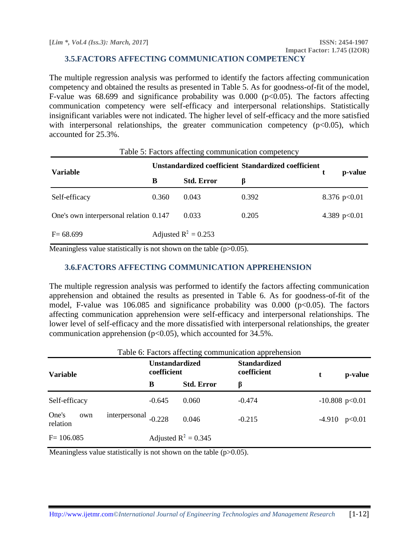#### **3.5.FACTORS AFFECTING COMMUNICATION COMPETENCY**

The multiple regression analysis was performed to identify the factors affecting communication competency and obtained the results as presented in Table 5. As for goodness-of-fit of the model, F-value was 68.699 and significance probability was  $0.000$  ( $p<0.05$ ). The factors affecting communication competency were self-efficacy and interpersonal relationships. Statistically insignificant variables were not indicated. The higher level of self-efficacy and the more satisfied with interpersonal relationships, the greater communication competency  $(p<0.05)$ , which accounted for 25.3%.

| Table 5: Factors affecting communication competency |                                                     |                        |       |  |                |  |
|-----------------------------------------------------|-----------------------------------------------------|------------------------|-------|--|----------------|--|
| Variable                                            | Unstandardized coefficient Standardized coefficient |                        |       |  | p-value        |  |
|                                                     | B                                                   | <b>Std. Error</b>      | B     |  |                |  |
| Self-efficacy                                       | 0.360                                               | 0.043                  | 0.392 |  | 8.376 $p<0.01$ |  |
| One's own interpersonal relation 0.147              |                                                     | 0.033                  | 0.205 |  | 4.389 $p<0.01$ |  |
| $F = 68.699$                                        |                                                     | Adjusted $R^2 = 0.253$ |       |  |                |  |

Meaningless value statistically is not shown on the table  $(p>0.05)$ .

#### **3.6.FACTORS AFFECTING COMMUNICATION APPREHENSION**

The multiple regression analysis was performed to identify the factors affecting communication apprehension and obtained the results as presented in Table 6. As for goodness-of-fit of the model, F-value was 106.085 and significance probability was  $0.000$  ( $p<0.05$ ). The factors affecting communication apprehension were self-efficacy and interpersonal relationships. The lower level of self-efficacy and the more dissatisfied with interpersonal relationships, the greater communication apprehension ( $p<0.05$ ), which accounted for 34.5%.

| Table 6: Factors affecting communication apprehension |                                      |                        |                                    |   |                  |  |  |
|-------------------------------------------------------|--------------------------------------|------------------------|------------------------------------|---|------------------|--|--|
| <b>Variable</b>                                       | <b>Unstandardized</b><br>coefficient |                        | <b>Standardized</b><br>coefficient | t | p-value          |  |  |
|                                                       | B                                    | <b>Std. Error</b>      | β                                  |   |                  |  |  |
| Self-efficacy                                         | $-0.645$                             | 0.060                  | $-0.474$                           |   | $-10.808$ p<0.01 |  |  |
| One's<br>own<br>relation                              | interpersonal $_{-0.228}$            | 0.046                  | $-0.215$                           |   | $-4.910$ p<0.01  |  |  |
| $F = 106.085$                                         |                                      | Adjusted $R^2 = 0.345$ |                                    |   |                  |  |  |

Meaningless value statistically is not shown on the table  $(p>0.05)$ .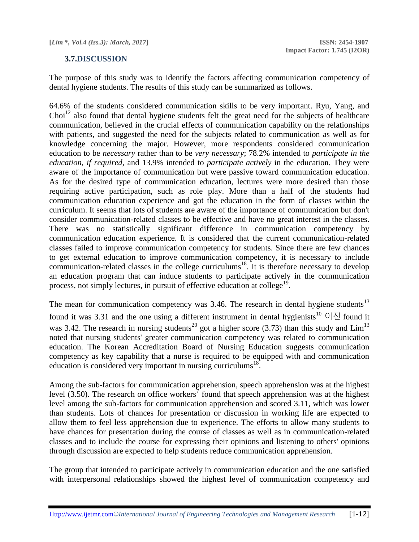#### **3.7.DISCUSSION**

The purpose of this study was to identify the factors affecting communication competency of dental hygiene students. The results of this study can be summarized as follows.

64.6% of the students considered communication skills to be very important. Ryu, Yang, and Choi<sup>12</sup> also found that dental hygiene students felt the great need for the subjects of healthcare communication, believed in the crucial effects of communication capability on the relationships with patients, and suggested the need for the subjects related to communication as well as for knowledge concerning the major. However, more respondents considered communication education to be *necessary* rather than to be *very necessary*; 78.2% intended to *participate in the education, if required*, and 13.9% intended to *participate actively* in the education. They were aware of the importance of communication but were passive toward communication education. As for the desired type of communication education, lectures were more desired than those requiring active participation, such as role play. More than a half of the students had communication education experience and got the education in the form of classes within the curriculum. It seems that lots of students are aware of the importance of communication but don't consider communication-related classes to be effective and have no great interest in the classes. There was no statistically significant difference in communication competency by communication education experience. It is considered that the current communication-related classes failed to improve communication competency for students. Since there are few chances to get external education to improve communication competency, it is necessary to include communication-related classes in the college curriculums<sup>18</sup>. It is therefore necessary to develop an education program that can induce students to participate actively in the communication process, not simply lectures, in pursuit of effective education at college<sup>19</sup>.

The mean for communication competency was  $3.46$ . The research in dental hygiene students<sup>13</sup>

found it was 3.31 and the one using a different instrument in dental hygienists<sup>10</sup> 이진 found it was 3.42. The research in nursing students<sup>20</sup> got a higher score (3.73) than this study and  $\text{Lim}^{13}$ noted that nursing students' greater communication competency was related to communication education. The Korean Accreditation Board of Nursing Education suggests communication competency as key capability that a nurse is required to be equipped with and communication education is considered very important in nursing curriculums<sup>18</sup>.

Among the sub-factors for communication apprehension, speech apprehension was at the highest level  $(3.50)$ . The research on office workers<sup>7</sup> found that speech apprehension was at the highest level among the sub-factors for communication apprehension and scored 3.11, which was lower than students. Lots of chances for presentation or discussion in working life are expected to allow them to feel less apprehension due to experience. The efforts to allow many students to have chances for presentation during the course of classes as well as in communication-related classes and to include the course for expressing their opinions and listening to others' opinions through discussion are expected to help students reduce communication apprehension.

The group that intended to participate actively in communication education and the one satisfied with interpersonal relationships showed the highest level of communication competency and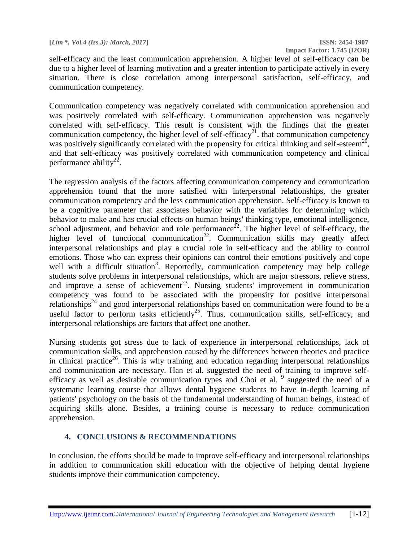self-efficacy and the least communication apprehension. A higher level of self-efficacy can be due to a higher level of learning motivation and a greater intention to participate actively in every situation. There is close correlation among interpersonal satisfaction, self-efficacy, and communication competency.

Communication competency was negatively correlated with communication apprehension and was positively correlated with self-efficacy. Communication apprehension was negatively correlated with self-efficacy. This result is consistent with the findings that the greater communication competency, the higher level of self-efficacy<sup>21</sup>, that communication competency was positively significantly correlated with the propensity for critical thinking and self-esteem<sup>20</sup>, and that self-efficacy was positively correlated with communication competency and clinical performance ability<sup>22</sup>.

The regression analysis of the factors affecting communication competency and communication apprehension found that the more satisfied with interpersonal relationships, the greater communication competency and the less communication apprehension. Self-efficacy is known to be a cognitive parameter that associates behavior with the variables for determining which behavior to make and has crucial effects on human beings' thinking type, emotional intelligence, school adjustment, and behavior and role performance<sup>22</sup>. The higher level of self-efficacy, the higher level of functional communication<sup>22</sup>. Communication skills may greatly affect interpersonal relationships and play a crucial role in self-efficacy and the ability to control emotions. Those who can express their opinions can control their emotions positively and cope well with a difficult situation<sup>3</sup>. Reportedly, communication competency may help college students solve problems in interpersonal relationships, which are major stressors, relieve stress, and improve a sense of achievement<sup>23</sup>. Nursing students' improvement in communication competency was found to be associated with the propensity for positive interpersonal relationships<sup>24</sup> and good interpersonal relationships based on communication were found to be a useful factor to perform tasks efficiently<sup>25</sup>. Thus, communication skills, self-efficacy, and interpersonal relationships are factors that affect one another.

Nursing students got stress due to lack of experience in interpersonal relationships, lack of communication skills, and apprehension caused by the differences between theories and practice in clinical practice<sup>26</sup>. This is why training and education regarding interpersonal relationships and communication are necessary. Han et al. suggested the need of training to improve selfefficacy as well as desirable communication types and Choi et al. <sup>9</sup> suggested the need of a systematic learning course that allows dental hygiene students to have in-depth learning of patients' psychology on the basis of the fundamental understanding of human beings, instead of acquiring skills alone. Besides, a training course is necessary to reduce communication apprehension.

# **4. CONCLUSIONS & RECOMMENDATIONS**

In conclusion, the efforts should be made to improve self-efficacy and interpersonal relationships in addition to communication skill education with the objective of helping dental hygiene students improve their communication competency.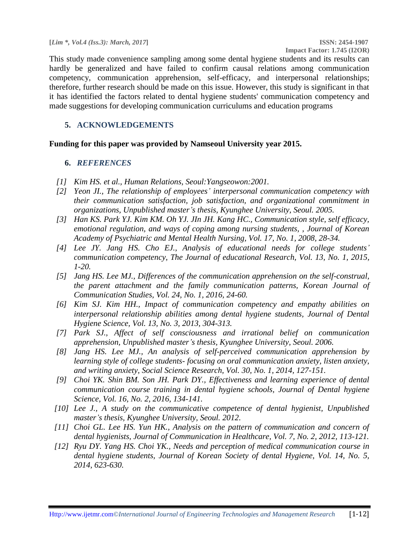This study made convenience sampling among some dental hygiene students and its results can hardly be generalized and have failed to confirm causal relations among communication competency, communication apprehension, self-efficacy, and interpersonal relationships; therefore, further research should be made on this issue. However, this study is significant in that it has identified the factors related to dental hygiene students' communication competency and made suggestions for developing communication curriculums and education programs

# **5. ACKNOWLEDGEMENTS**

#### **Funding for this paper was provided by Namseoul University year 2015.**

#### **6.** *REFERENCES*

- *[1] Kim HS. et al., Human Relations, Seoul:Yangseowon:2001.*
- *[2] Yeon JI., The relationship of employees' interpersonal communication competency with their communication satisfaction, job satisfaction, and organizational commitment in organizations, Unpublished master's thesis, Kyunghee University, Seoul. 2005.*
- *[3] Han KS. Park YJ. Kim KM. Oh YJ. JIn JH. Kang HC., Communication style, self efficacy, emotional regulation, and ways of coping among nursing students, , Journal of Korean Academy of Psychiatric and Mental Health Nursing, Vol. 17, No. 1, 2008, 28-34.*
- *[4] Lee JY. Jang HS. Cho EJ., Analysis of educational needs for college students' communication competency, The Journal of educational Research, Vol. 13, No. 1, 2015, 1-20.*
- *[5] Jang HS. Lee MJ., Differences of the communication apprehension on the self-construal, the parent attachment and the family communication patterns, Korean Journal of Communication Studies, Vol. 24, No. 1, 2016, 24-60.*
- *[6] Kim SJ. Kim HH., Impact of communication competency and empathy abilities on interpersonal relationship abilities among dental hygiene students, Journal of Dental Hygiene Science, Vol. 13, No. 3, 2013, 304-313.*
- *[7] Park SJ., Affect of self consciousness and irrational belief on communication apprehension, Unpublished master's thesis, Kyunghee University, Seoul. 2006.*
- *[8] Jang HS. Lee MJ., An analysis of self-perceived communication apprehension by learning style of college students- focusing on oral communication anxiety, listen anxiety, and writing anxiety, Social Science Research, Vol. 30, No. 1, 2014, 127-151.*
- *[9] Choi YK. Shin BM. Son JH. Park DY., Effectiveness and learning experience of dental communication course training in dental hygiene schools, Journal of Dental hygiene Science, Vol. 16, No. 2, 2016, 134-141.*
- *[10] Lee J., A study on the communicative competence of dental hygienist, Unpublished master's thesis, Kyunghee University, Seoul. 2012.*
- *[11] Choi GL. Lee HS. Yun HK., Analysis on the pattern of communication and concern of dental hygienists, Journal of Communication in Healthcare, Vol. 7, No. 2, 2012, 113-121.*
- *[12] Ryu DY. Yang HS. Choi YK., Needs and perception of medical communication course in dental hygiene students, Journal of Korean Society of dental Hygiene, Vol. 14, No. 5, 2014, 623-630.*